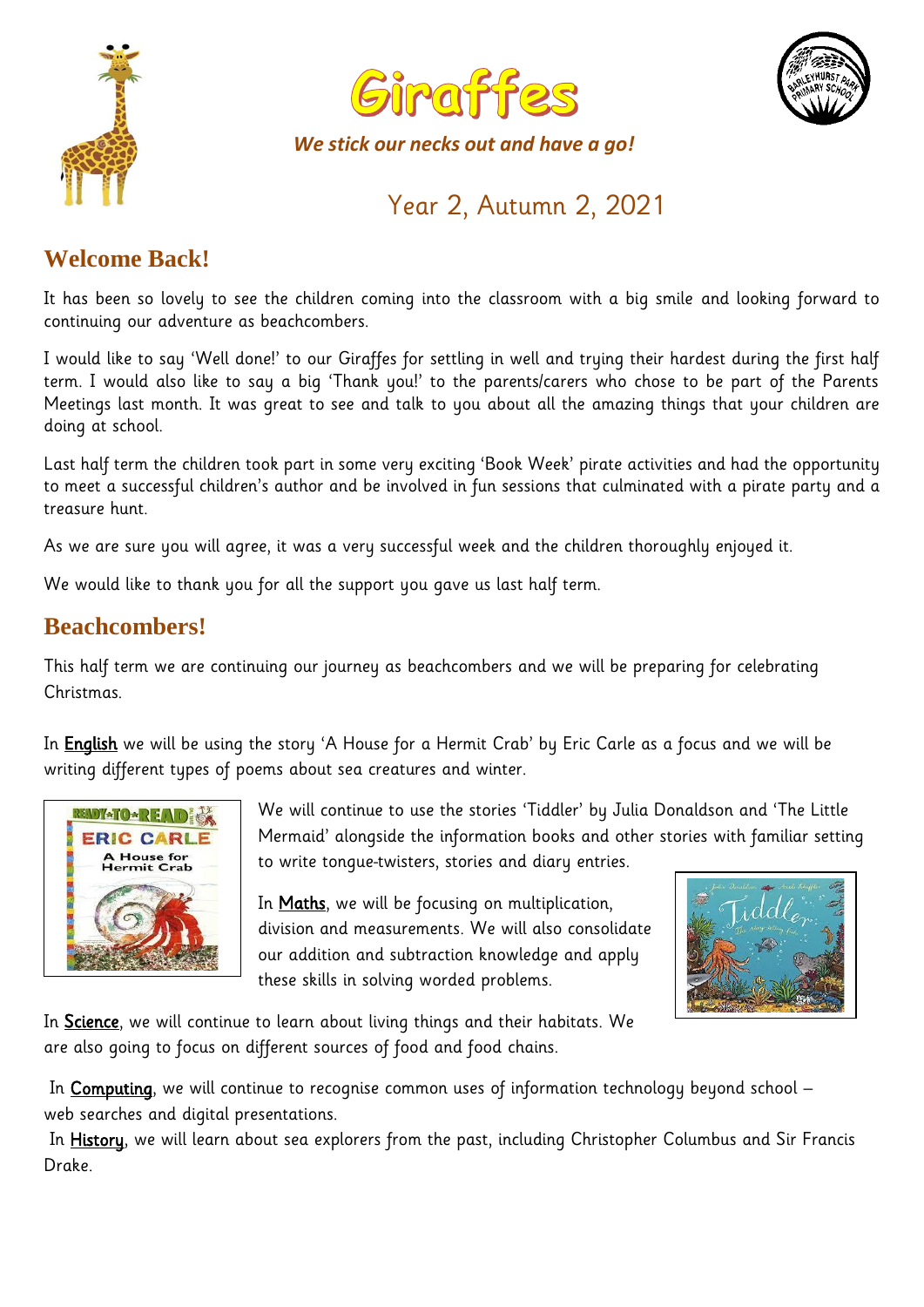





*We stick our necks out and have a go!*

Year 2, Autumn 2, 2021

# **Welcome Back!**

It has been so lovely to see the children coming into the classroom with a big smile and looking forward to continuing our adventure as beachcombers.

I would like to say 'Well done!' to our Giraffes for settling in well and trying their hardest during the first half term. I would also like to say a big 'Thank you!' to the parents/carers who chose to be part of the Parents Meetings last month. It was great to see and talk to you about all the amazing things that your children are doing at school.

Last half term the children took part in some very exciting 'Book Week' pirate activities and had the opportunity to meet a successful children's author and be involved in fun sessions that culminated with a pirate party and a treasure hunt.

As we are sure you will agree, it was a very successful week and the children thoroughly enjoyed it.

We would like to thank you for all the support you gave us last half term.

## **Beachcombers!**

This half term we are continuing our journey as beachcombers and we will be preparing for celebrating Christmas.

In **English** we will be using the story 'A House for a Hermit Crab' by Eric Carle as a focus and we will be writing different types of poems about sea creatures and winter.



We will continue to use the stories 'Tiddler' by Julia Donaldson and 'The Little Mermaid' alongside the information books and other stories with familiar setting to write tongue-twisters, stories and diary entries.

In Maths, we will be focusing on multiplication, division and measurements. We will also consolidate our addition and subtraction knowledge and apply these skills in solving worded problems.



In Science, we will continue to learn about living things and their habitats. We are also going to focus on different sources of food and food chains.

In Computing, we will continue to recognise common uses of information technology beyond school web searches and digital presentations.

In History, we will learn about sea explorers from the past, including Christopher Columbus and Sir Francis Drake.